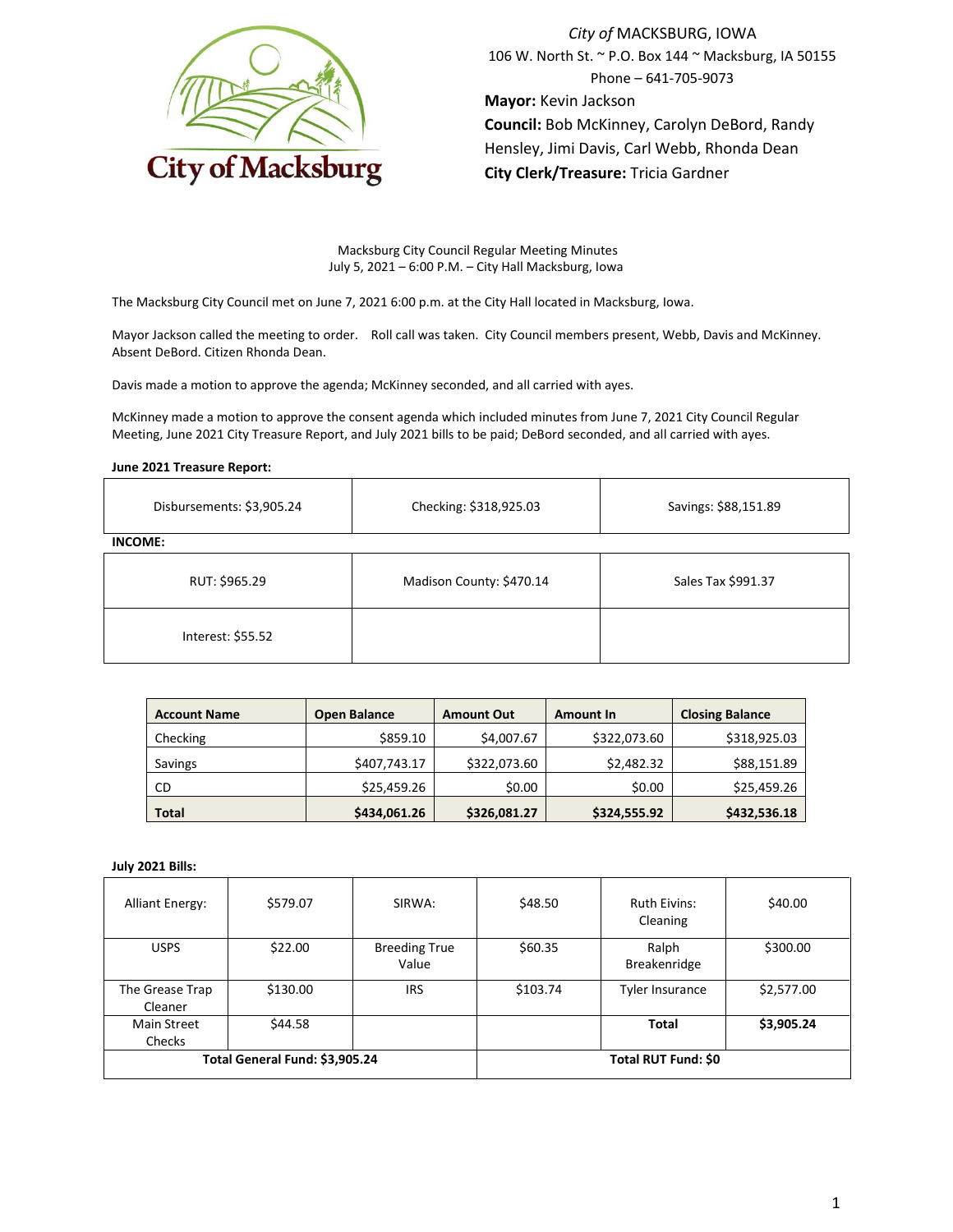

*City of* MACKSBURG, IOWA 106 W. North St. ~ P.O. Box 144 ~ Macksburg, IA 50155 Phone – 641-705-9073 **Mayor:** Kevin Jackson **Council:** Bob McKinney, Carolyn DeBord, Randy Hensley, Jimi Davis, Carl Webb, Rhonda Dean **City Clerk/Treasure:** Tricia Gardner

Macksburg City Council Regular Meeting Minutes July 5, 2021 – 6:00 P.M. – City Hall Macksburg, Iowa

The Macksburg City Council met on June 7, 2021 6:00 p.m. at the City Hall located in Macksburg, Iowa.

Mayor Jackson called the meeting to order. Roll call was taken. City Council members present, Webb, Davis and McKinney. Absent DeBord. Citizen Rhonda Dean.

Davis made a motion to approve the agenda; McKinney seconded, and all carried with ayes.

McKinney made a motion to approve the consent agenda which included minutes from June 7, 2021 City Council Regular Meeting, June 2021 City Treasure Report, and July 2021 bills to be paid; DeBord seconded, and all carried with ayes.

### **June 2021 Treasure Report:**

| Disbursements: \$3,905.24 | Checking: \$318,925.03   | Savings: \$88,151.89 |  |
|---------------------------|--------------------------|----------------------|--|
| <b>INCOME:</b>            |                          |                      |  |
| RUT: \$965.29             | Madison County: \$470.14 | Sales Tax \$991.37   |  |
| Interest: \$55.52         |                          |                      |  |

| <b>Account Name</b> | <b>Open Balance</b> | <b>Amount Out</b> | <b>Amount In</b> | <b>Closing Balance</b> |
|---------------------|---------------------|-------------------|------------------|------------------------|
| Checking            | \$859.10            | \$4,007.67        | \$322,073.60     | \$318,925.03           |
| Savings             | \$407,743.17        | \$322,073.60      | \$2,482.32       | \$88,151.89            |
| CD                  | \$25,459.26         | \$0.00            | \$0.00           | \$25,459.26            |
| <b>Total</b>        | \$434,061.26        | \$326,081.27      | \$324,555.92     | \$432,536.18           |

### **July 2021 Bills:**

| <b>Alliant Energy:</b>         | \$579.07 | SIRWA:                        | \$48.50  | <b>Ruth Eivins:</b><br>Cleaning | \$40.00    |
|--------------------------------|----------|-------------------------------|----------|---------------------------------|------------|
| <b>USPS</b>                    | \$22.00  | <b>Breeding True</b><br>Value | \$60.35  | Ralph<br>Breakenridge           | \$300.00   |
| The Grease Trap<br>Cleaner     | \$130.00 | <b>IRS</b>                    | \$103.74 | <b>Tyler Insurance</b>          | \$2,577.00 |
| Main Street<br>Checks          | \$44.58  |                               |          | Total                           | \$3,905.24 |
| Total General Fund: \$3,905.24 |          | Total RUT Fund: \$0           |          |                                 |            |